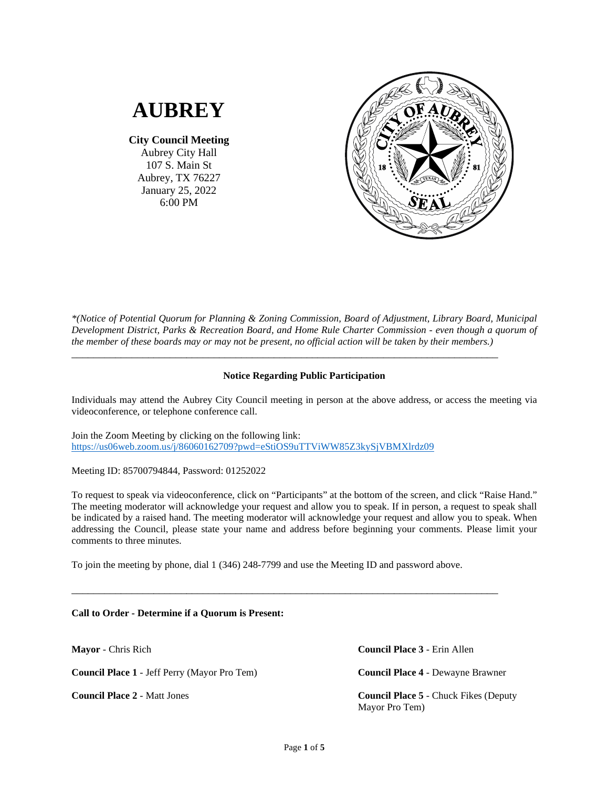# **AUBREY**

**City Council Meeting** Aubrey City Hall 107 S. Main St Aubrey, TX 76227 January 25, 2022 6:00 PM



*\*(Notice of Potential Quorum for Planning & Zoning Commission, Board of Adjustment, Library Board, Municipal Development District, Parks & Recreation Board, and Home Rule Charter Commission - even though a quorum of the member of these boards may or may not be present, no official action will be taken by their members.)*

# **Notice Regarding Public Participation**

\_\_\_\_\_\_\_\_\_\_\_\_\_\_\_\_\_\_\_\_\_\_\_\_\_\_\_\_\_\_\_\_\_\_\_\_\_\_\_\_\_\_\_\_\_\_\_\_\_\_\_\_\_\_\_\_\_\_\_\_\_\_\_\_\_\_\_\_\_\_\_\_\_\_\_\_\_\_

Individuals may attend the Aubrey City Council meeting in person at the above address, or access the meeting via videoconference, or telephone conference call.

Join the Zoom Meeting by clicking on the following link: <https://us06web.zoom.us/j/86060162709?pwd=eStiOS9uTTViWW85Z3kySjVBMXlrdz09>

Meeting ID: 85700794844, Password: 01252022

To request to speak via videoconference, click on "Participants" at the bottom of the screen, and click "Raise Hand." The meeting moderator will acknowledge your request and allow you to speak. If in person, a request to speak shall be indicated by a raised hand. The meeting moderator will acknowledge your request and allow you to speak. When addressing the Council, please state your name and address before beginning your comments. Please limit your comments to three minutes.

To join the meeting by phone, dial 1 (346) 248-7799 and use the Meeting ID and password above.

\_\_\_\_\_\_\_\_\_\_\_\_\_\_\_\_\_\_\_\_\_\_\_\_\_\_\_\_\_\_\_\_\_\_\_\_\_\_\_\_\_\_\_\_\_\_\_\_\_\_\_\_\_\_\_\_\_\_\_\_\_\_\_\_\_\_\_\_\_\_\_\_\_\_\_\_\_\_

**Call to Order - Determine if a Quorum is Present:**

**Mayor** - Chris Rich

**Council Place 1** - Jeff Perry (Mayor Pro Tem)

**Council Place 2** - Matt Jones

**Council Place 3** - Erin Allen

**Council Place 4** - Dewayne Brawner

**Council Place 5** - Chuck Fikes (Deputy Mayor Pro Tem)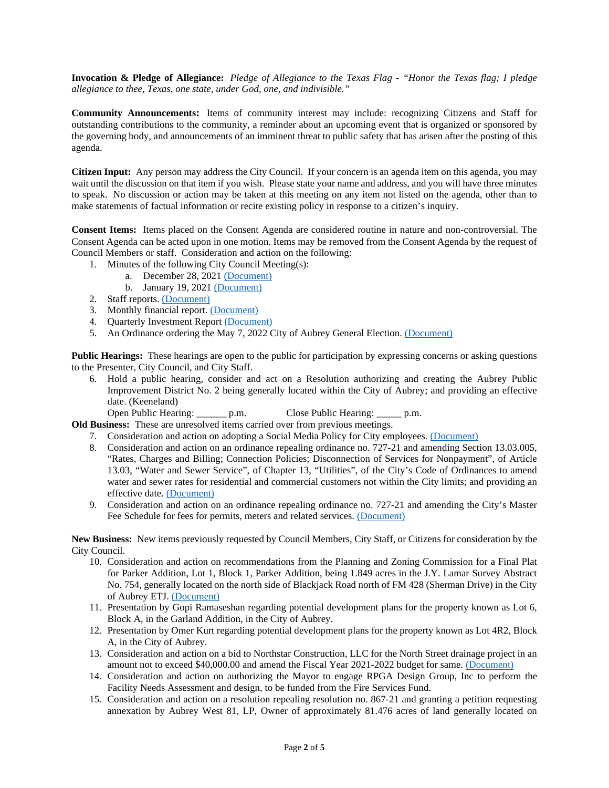**Invocation & Pledge of Allegiance:** *Pledge of Allegiance to the Texas Flag - "Honor the Texas flag; I pledge allegiance to thee, Texas, one state, under God, one, and indivisible."*

**Community Announcements:** Items of community interest may include: recognizing Citizens and Staff for outstanding contributions to the community, a reminder about an upcoming event that is organized or sponsored by the governing body, and announcements of an imminent threat to public safety that has arisen after the posting of this agenda.

**Citizen Input:** Any person may address the City Council. If your concern is an agenda item on this agenda, you may wait until the discussion on that item if you wish. Please state your name and address, and you will have three minutes to speak. No discussion or action may be taken at this meeting on any item not listed on the agenda, other than to make statements of factual information or recite existing policy in response to a citizen's inquiry.

**Consent Items:** Items placed on the Consent Agenda are considered routine in nature and non-controversial. The Consent Agenda can be acted upon in one motion. Items may be removed from the Consent Agenda by the request of Council Members or staff. Consideration and action on the following:

- 1. Minutes of the following City Council Meeting(s):
	- a. December 28, 2021 [\(Document\)](https://www.dropbox.com/s/b9l6p5if8fml3jg/1%202021_12_28%20CC%20Minutes.pdf?dl=0)
	- b. January 19, 2021 [\(Document\)](https://www.dropbox.com/s/bu6dln6lr69owhy/1%202022_01_19%20Special%20Meeting%20Minutes.pdf?dl=0)
- 2. Staff reports[. \(Document\)](https://www.dropbox.com/s/b6hz5ay2id3af0w/2%20Staff%20Reports.pdf?dl=0)
- 3. Monthly financial report. [\(Document\)](https://www.dropbox.com/s/vknos5nj9px5xz1/3%202021_12%20Financials.pdf?dl=0)
- 4. Quarterly Investment Repor[t \(Document\)](https://www.dropbox.com/s/fkt8jgjp110l535/4%20Quarterly%20Investment%20Report.pdf?dl=0)
- 5. An Ordinance ordering the May 7, 2022 City of Aubrey General Election. [\(Document\)](https://www.dropbox.com/s/zofzyx1zq3dt7p7/5%20ORD%20732-22%20Ordering%20May%207%202022%20General%20Election%20%28EB%2001182022%29.pdf?dl=0)

**Public Hearings:** These hearings are open to the public for participation by expressing concerns or asking questions to the Presenter, City Council, and City Staff.

6. Hold a public hearing, consider and act on a Resolution authorizing and creating the Aubrey Public Improvement District No. 2 being generally located within the City of Aubrey; and providing an effective date. (Keeneland)

Open Public Hearing: \_\_\_\_\_\_ p.m. Close Public Hearing: \_\_\_\_\_ p.m.

- **Old Business:** These are unresolved items carried over from previous meetings.
	- 7. Consideration and action on adopting a Social Media Policy for City employees. [\(Document\)](https://www.dropbox.com/s/gaq7wgmiozwwn56/7%20RES%20880-22%20Adopting%20Internet%20Website%20and%20Social%20Media%20Policy_%2801202022%29.pdf?dl=0)
	- 8. Consideration and action on an ordinance repealing ordinance no. 727-21 and amending Section 13.03.005, "Rates, Charges and Billing; Connection Policies; Disconnection of Services for Nonpayment", of Article 13.03, "Water and Sewer Service", of Chapter 13, "Utilities", of the City's Code of Ordinances to amend water and sewer rates for residential and commercial customers not within the City limits; and providing an effective date. [\(Document\)](https://www.dropbox.com/s/mkjnc6fppcsttc4/8%20ORD%20733-22%20Outside%20City%20Limits%20Water%20and%20Wastewater%20Rates%20%28011822%20redline%29%20%28EB%2001192022%29%20%28002%29.pdf?dl=0)
	- 9. Consideration and action on an ordinance repealing ordinance no. 727-21 and amending the City's Master Fee Schedule for fees for permits, meters and related services. [\(Document\)](https://www.dropbox.com/s/qkrxwvg9sj1kjln/9%20ORD%20734-22%20Fee%20Schedule%20Amendment%20Ordinance%20%28SL_EB%2001202022%29%20%28v.2%29.pdf?dl=0)

**New Business:** New items previously requested by Council Members, City Staff, or Citizens for consideration by the City Council.

- 10. Consideration and action on recommendations from the Planning and Zoning Commission for a Final Plat for Parker Addition, Lot 1, Block 1, Parker Addition, being 1.849 acres in the J.Y. Lamar Survey Abstract No. 754, generally located on the north side of Blackjack Road north of FM 428 (Sherman Drive) in the City of Aubrey ETJ[. \(Document\)](https://www.dropbox.com/s/nsjur5ob9cjq4qq/10%20Parker%20Addition%20Final%20Plat.pdf?dl=0)
- 11. Presentation by Gopi Ramaseshan regarding potential development plans for the property known as Lot 6, Block A, in the Garland Addition, in the City of Aubrey.
- 12. Presentation by Omer Kurt regarding potential development plans for the property known as Lot 4R2, Block A, in the City of Aubrey.
- 13. Consideration and action on a bid to Northstar Construction, LLC for the North Street drainage project in an amount not to exceed \$40,000.00 and amend the Fiscal Year 2021-2022 budget for same. [\(Document\)](https://www.dropbox.com/s/a4hly8sved6w1n9/13%20Bid%20Rejection%20Recommendation%20to%20City.pdf?dl=0)
- 14. Consideration and action on authorizing the Mayor to engage RPGA Design Group, Inc to perform the Facility Needs Assessment and design, to be funded from the Fire Services Fund.
- 15. Consideration and action on a resolution repealing resolution no. 867-21 and granting a petition requesting annexation by Aubrey West 81, LP, Owner of approximately 81.476 acres of land generally located on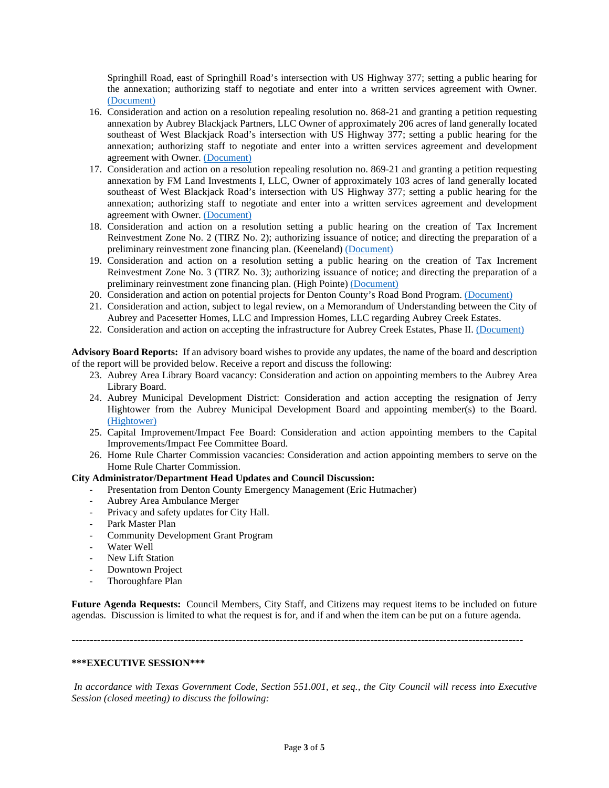Springhill Road, east of Springhill Road's intersection with US Highway 377; setting a public hearing for the annexation; authorizing staff to negotiate and enter into a written services agreement with Owner. [\(Document\)](https://www.dropbox.com/s/2kwt6g4p0defln0/15%20RES%20875-22%20Granting%20Pet%20for%20Annex%20Calling%20PH%20%28Keenland%20Feb%2022%29.pdf?dl=0)

- 16. Consideration and action on a resolution repealing resolution no. 868-21 and granting a petition requesting annexation by Aubrey Blackjack Partners, LLC Owner of approximately 206 acres of land generally located southeast of West Blackjack Road's intersection with US Highway 377; setting a public hearing for the annexation; authorizing staff to negotiate and enter into a written services agreement and development agreement with Owner[. \(Document\)](https://www.dropbox.com/s/xselc3y2v4mgaal/16%20RES%20876-22%20Granting%20Pet%20for%20Annex%20Calling%20PH%20%28High%20Pointe%20206%20acres%20Feb%2022%29.pdf?dl=0)
- 17. Consideration and action on a resolution repealing resolution no. 869-21 and granting a petition requesting annexation by FM Land Investments I, LLC, Owner of approximately 103 acres of land generally located southeast of West Blackjack Road's intersection with US Highway 377; setting a public hearing for the annexation; authorizing staff to negotiate and enter into a written services agreement and development agreement with Owner. [\(Document\)](https://www.dropbox.com/s/xmec73tvd3a80yi/17%20RES%20877-22%20Granting%20Pet%20for%20Annex%20Calling%20PH%20%28High%20Pointe%20103%20acres%29%20Feb%202022%20%28EB%29.pdf?dl=0)
- 18. Consideration and action on a resolution setting a public hearing on the creation of Tax Increment Reinvestment Zone No. 2 (TIRZ No. 2); authorizing issuance of notice; and directing the preparation of a preliminary reinvestment zone financing plan. (Keeneland) [\(Document\)](https://www.dropbox.com/s/3lk4dca6p9b4szr/18%20RES%20878-22%20Aubrey%20TIRZ%20No.%202%20%28Keeneland%29%20Resolution%20setting%20a%20Public%20Hearing-v1.0%20%28ACCEPTED%20FINAL%29.pdf?dl=0)
- 19. Consideration and action on a resolution setting a public hearing on the creation of Tax Increment Reinvestment Zone No. 3 (TIRZ No. 3); authorizing issuance of notice; and directing the preparation of a preliminary reinvestment zone financing plan. (High Pointe) [\(Document\)](https://www.dropbox.com/s/rp6c4ppo6x68wwo/19%20RES%20879-22%20Aubrey%20TIRZ%20No.%203%20%28High%20Pointe%29%20Resolution%20setting%20a%20Public%20Hearing-v1.0%20%28ACCEPTED%20FINAL%29.pdf?dl=0)
- 20. Consideration and action on potential projects for Denton County's Road Bond Program. [\(Document\)](https://www.dropbox.com/s/au2moha8w0z6o72/20%20County%20Roads%20Bond%20Program%20List%202022.pdf?dl=0)
- 21. Consideration and action, subject to legal review, on a Memorandum of Understanding between the City of Aubrey and Pacesetter Homes, LLC and Impression Homes, LLC regarding Aubrey Creek Estates.
- 22. Consideration and action on accepting the infrastructure for Aubrey Creek Estates, Phase II. [\(Document\)](https://www.dropbox.com/s/9kr4yzynhzw12ci/22%20Aubrey%20Creek%20Estates%20Phase%202%20Final%20Acceptance%20Letter.pdf?dl=0)

**Advisory Board Reports:** If an advisory board wishes to provide any updates, the name of the board and description of the report will be provided below. Receive a report and discuss the following:

- 23. Aubrey Area Library Board vacancy: Consideration and action on appointing members to the Aubrey Area Library Board.
- 24. Aubrey Municipal Development District: Consideration and action accepting the resignation of Jerry Hightower from the Aubrey Municipal Development Board and appointing member(s) to the Board. [\(Hightower\)](https://www.dropbox.com/s/e46m8hmwqbfia8d/24%20Hightower%20MDD%20Resignation%201-4-2021.pdf?dl=0)
- 25. Capital Improvement/Impact Fee Board: Consideration and action appointing members to the Capital Improvements/Impact Fee Committee Board.
- 26. Home Rule Charter Commission vacancies: Consideration and action appointing members to serve on the Home Rule Charter Commission.

# **City Administrator/Department Head Updates and Council Discussion:**

- Presentation from Denton County Emergency Management (Eric Hutmacher)
- Aubrey Area Ambulance Merger
- Privacy and safety updates for City Hall.
- Park Master Plan
- Community Development Grant Program
- Water Well
- New Lift Station
- Downtown Project
- Thoroughfare Plan

**Future Agenda Requests:** Council Members, City Staff, and Citizens may request items to be included on future agendas. Discussion is limited to what the request is for, and if and when the item can be put on a future agenda.

**----------------------------------------------------------------------------------------------------------------------------**

### **\*\*\*EXECUTIVE SESSION\*\*\***

*In accordance with Texas Government Code, Section 551.001, et seq., the City Council will recess into Executive Session (closed meeting) to discuss the following:*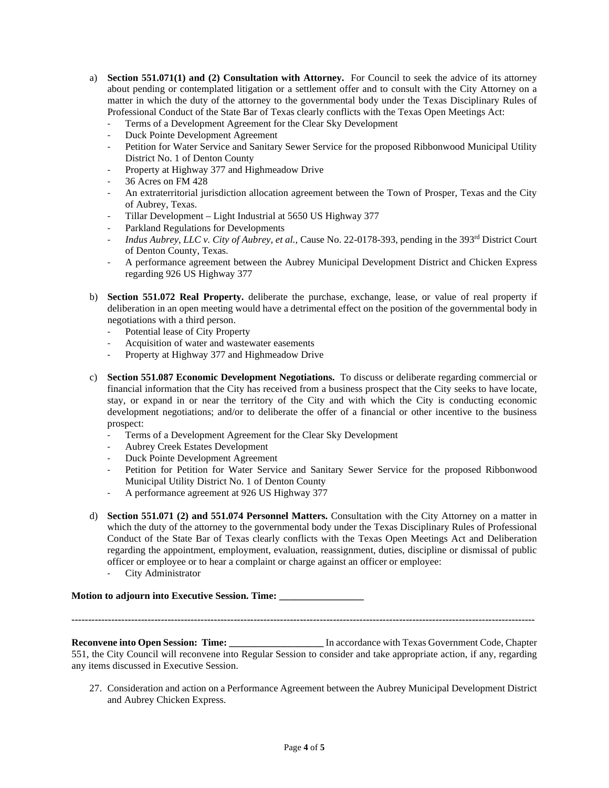- a) **Section 551.071(1) and (2) Consultation with Attorney.** For Council to seek the advice of its attorney about pending or contemplated litigation or a settlement offer and to consult with the City Attorney on a matter in which the duty of the attorney to the governmental body under the Texas Disciplinary Rules of Professional Conduct of the State Bar of Texas clearly conflicts with the Texas Open Meetings Act:
	- Terms of a Development Agreement for the Clear Sky Development
	- Duck Pointe Development Agreement
	- Petition for Water Service and Sanitary Sewer Service for the proposed Ribbonwood Municipal Utility District No. 1 of Denton County
	- Property at Highway 377 and Highmeadow Drive
	- 36 Acres on FM 428
	- An extraterritorial jurisdiction allocation agreement between the Town of Prosper, Texas and the City of Aubrey, Texas.
	- Tillar Development Light Industrial at 5650 US Highway 377
	- Parkland Regulations for Developments
	- *Indus Aubrey, LLC v. City of Aubrey, et al., Cause No. 22-0178-393, pending in the 393<sup>rd</sup> District Court* of Denton County, Texas.
	- A performance agreement between the Aubrey Municipal Development District and Chicken Express regarding 926 US Highway 377
- b) **Section 551.072 Real Property.** deliberate the purchase, exchange, lease, or value of real property if deliberation in an open meeting would have a detrimental effect on the position of the governmental body in negotiations with a third person.
	- Potential lease of City Property
	- Acquisition of water and wastewater easements
	- Property at Highway 377 and Highmeadow Drive
- c) **Section 551.087 Economic Development Negotiations.** To discuss or deliberate regarding commercial or financial information that the City has received from a business prospect that the City seeks to have locate, stay, or expand in or near the territory of the City and with which the City is conducting economic development negotiations; and/or to deliberate the offer of a financial or other incentive to the business prospect:
	- Terms of a Development Agreement for the Clear Sky Development
	- Aubrey Creek Estates Development
	- Duck Pointe Development Agreement
	- Petition for Petition for Water Service and Sanitary Sewer Service for the proposed Ribbonwood Municipal Utility District No. 1 of Denton County
	- A performance agreement at 926 US Highway 377
- d) **Section 551.071 (2) and 551.074 Personnel Matters.** Consultation with the City Attorney on a matter in which the duty of the attorney to the governmental body under the Texas Disciplinary Rules of Professional Conduct of the State Bar of Texas clearly conflicts with the Texas Open Meetings Act and Deliberation regarding the appointment, employment, evaluation, reassignment, duties, discipline or dismissal of public officer or employee or to hear a complaint or charge against an officer or employee:
	- City Administrator

#### **Motion to adjourn into Executive Session. Time: \_\_\_\_\_\_\_\_\_\_\_\_\_\_\_\_\_**

**--------------------------------------------------------------------------------------------------------------------------------------------**

**Reconvene into Open Session: Time: In accordance with Texas Government Code, Chapter** 551, the City Council will reconvene into Regular Session to consider and take appropriate action, if any, regarding any items discussed in Executive Session.

27. Consideration and action on a Performance Agreement between the Aubrey Municipal Development District and Aubrey Chicken Express.